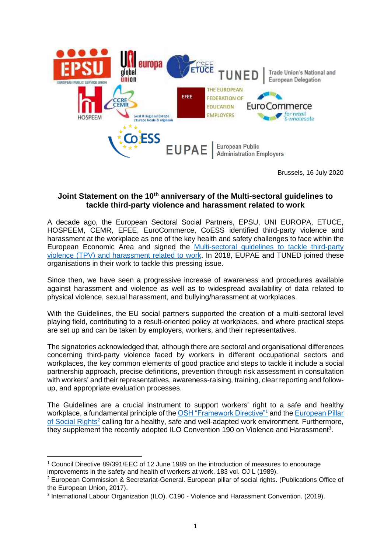

Brussels, 16 July 2020

## **Joint Statement on the 10th anniversary of the Multi-sectoral guidelines to tackle third-party violence and harassment related to work**

A decade ago, the European Sectoral Social Partners, EPSU, UNI EUROPA, ETUCE, HOSPEEM, CEMR, EFEE, EuroCommerce, CoESS identified third-party violence and harassment at the workplace as one of the key health and safety challenges to face within the European Economic Area and signed the Multi-sectoral guidelines to tackle third-party violence (TPV) and harassment related to work. In 2018, EUPAE and TUNED joined these organisations in their work to tackle this pressing issue.

Since then, we have seen a progressive increase of awareness and procedures available against harassment and violence as well as to widespread availability of data related to physical violence, sexual harassment, and bullying/harassment at workplaces.

With the Guidelines, the EU social partners supported the creation of a multi-sectoral level playing field, contributing to a result-oriented policy at workplaces, and where practical steps are set up and can be taken by employers, workers, and their representatives.

The signatories acknowledged that, although there are sectoral and organisational differences concerning third-party violence faced by workers in different occupational sectors and workplaces, the key common elements of good practice and steps to tackle it include a social partnership approach, precise definitions, prevention through risk assessment in consultation with workers' and their representatives, awareness-raising, training, clear reporting and followup, and appropriate evaluation processes.

The Guidelines are a crucial instrument to support workers' right to a safe and healthy workplace, a fundamental principle of the OSH "Framework Directive"<sup>1</sup> and the European Pillar of Social Rights<sup>2</sup> calling for a healthy, safe and well-adapted work environment. Furthermore, they supplement the recently adopted ILO Convention 190 on Violence and Harassment<sup>3</sup>.

<sup>1</sup> Council Directive 89/391/EEC of 12 June 1989 on the introduction of measures to encourage improvements in the safety and health of workers at work. 183 vol. OJ L (1989).

<sup>2</sup> European Commission & Secretariat-General. European pillar of social rights. (Publications Office of the European Union, 2017).

<sup>&</sup>lt;sup>3</sup> International Labour Organization (ILO). C190 - Violence and Harassment Convention. (2019).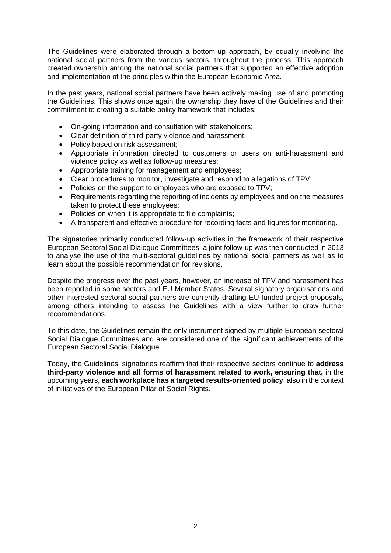The Guidelines were elaborated through a bottom-up approach, by equally involving the national social partners from the various sectors, throughout the process. This approach created ownership among the national social partners that supported an effective adoption and implementation of the principles within the European Economic Area.

In the past years, national social partners have been actively making use of and promoting the Guidelines. This shows once again the ownership they have of the Guidelines and their commitment to creating a suitable policy framework that includes:

- On-going information and consultation with stakeholders;
- Clear definition of third-party violence and harassment;
- Policy based on risk assessment:
- Appropriate information directed to customers or users on anti-harassment and violence policy as well as follow-up measures;
- Appropriate training for management and employees;
- Clear procedures to monitor, investigate and respond to allegations of TPV;
- Policies on the support to employees who are exposed to TPV;
- Requirements regarding the reporting of incidents by employees and on the measures taken to protect these employees;
- Policies on when it is appropriate to file complaints;
- A transparent and effective procedure for recording facts and figures for monitoring.

The signatories primarily conducted follow-up activities in the framework of their respective European Sectoral Social Dialogue Committees; a joint follow-up was then conducted in 2013 to analyse the use of the multi-sectoral guidelines by national social partners as well as to learn about the possible recommendation for revisions.

Despite the progress over the past years, however, an increase of TPV and harassment has been reported in some sectors and EU Member States. Several signatory organisations and other interested sectoral social partners are currently drafting EU-funded project proposals, among others intending to assess the Guidelines with a view further to draw further recommendations.

To this date, the Guidelines remain the only instrument signed by multiple European sectoral Social Dialogue Committees and are considered one of the significant achievements of the European Sectoral Social Dialogue.

Today, the Guidelines' signatories reaffirm that their respective sectors continue to **address third-party violence and all forms of harassment related to work, ensuring that,** in the upcoming years, **each workplace has a targeted results-oriented policy**, also in the context of initiatives of the European Pillar of Social Rights.